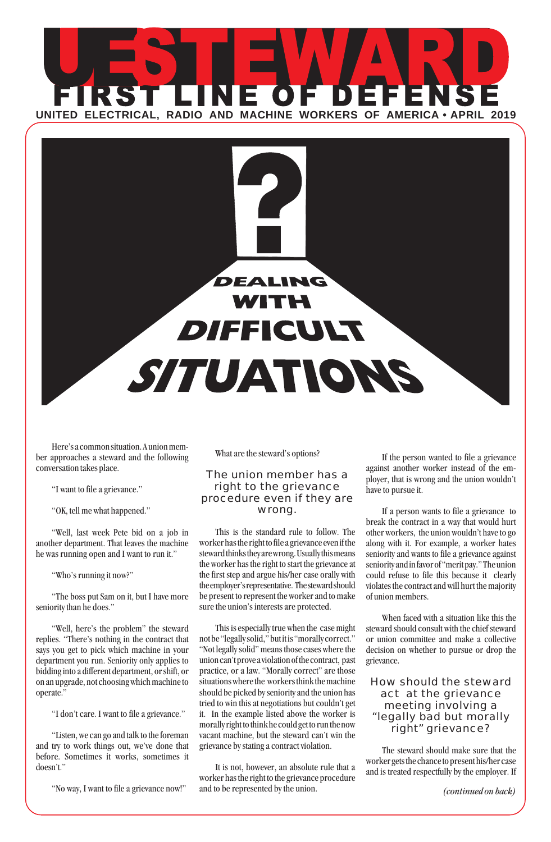



Here's a common situation. A union member approaches a steward and the following conversation takes place.

"I want to file a grievance."

"OK, tell me what happened."

"Well, last week Pete bid on a job in another department. That leaves the machine he was running open and I want to run it."

"Who's running it now?"

"The boss put Sam on it, but I have more seniority than he does."

"Well, here's the problem" the steward replies. "There's nothing in the contract that says you get to pick which machine in your department you run. Seniority only applies to bidding into a different department, or shift, or on an upgrade, not choosing which machine to operate."

"I don't care. I want to file a grievance."

"Listen, we can go and talk to the foreman and try to work things out, we've done that before. Sometimes it works, sometimes it doesn't."

"No way, I want to file a grievance now!"

What are the steward's options?

### *The union member has a right to the grievance procedure even if they are wrong.*

This is the standard rule to follow. The worker has the right to file a grievance even if the steward thinks they are wrong. Usually this means the worker has the right to start the grievance at the first step and argue his/her case orally with the employer's representative. The steward should be present to represent the worker and to make sure the union's interests are protected.

This is especially true when the case might not be "legally solid," but it is "morally correct." "Not legally solid" means those cases where the union can't prove a violation of the contract, past practice, or a law. "Morally correct" are those situations where the workers think the machine should be picked by seniority and the union has tried to win this at negotiations but couldn't get it. In the example listed above the worker is morally right to think he could get to run the now vacant machine, but the steward can't win the grievance by stating a contract violation.

It is not, however, an absolute rule that a worker has the right to the grievance procedure and to be represented by the union.

If the person wanted to file a grievance against another worker instead of the employer, that is wrong and the union wouldn't have to pursue it.

If a person wants to file a grievance to break the contract in a way that would hurt other workers, the union wouldn't have to go along with it. For example, a worker hates seniority and wants to file a grievance against seniority and in favor of "merit pay." The union could refuse to file this because it clearly violates the contract and will hurt the majority of union members.

When faced with a situation like this the steward should consult with the chief steward or union committee and make a collective decision on whether to pursue or drop the grievance.

### *How should the steward act at the grievance meeting involving a "legally bad but morally right" grievance?*

The steward should make sure that the worker gets the chance to present his/her case and is treated respectfully by the employer. If